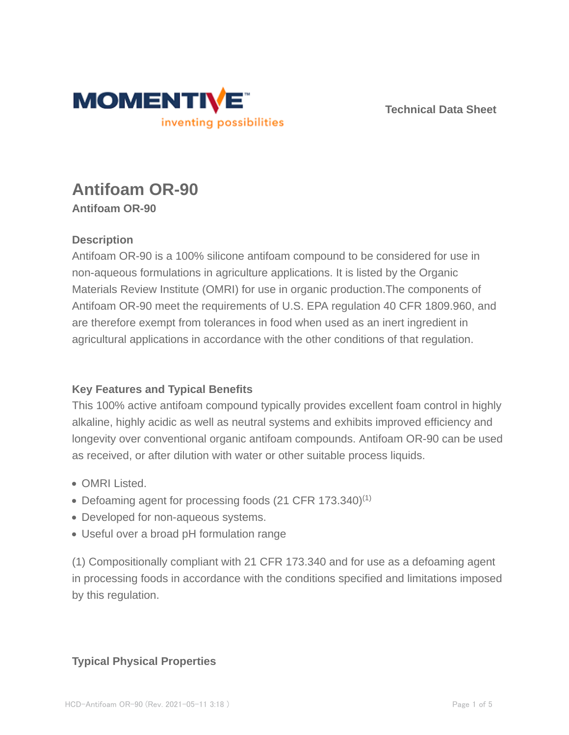

**Technical Data Sheet**

# **Antifoam OR-90 Antifoam OR-90**

### **Description**

Antifoam OR-90 is a 100% silicone antifoam compound to be considered for use in non-aqueous formulations in agriculture applications. It is listed by the Organic Materials Review Institute (OMRI) for use in organic production.The components of Antifoam OR-90 meet the requirements of U.S. EPA regulation 40 CFR 1809.960, and are therefore exempt from tolerances in food when used as an inert ingredient in agricultural applications in accordance with the other conditions of that regulation.

### **Key Features and Typical Benefits**

This 100% active antifoam compound typically provides excellent foam control in highly alkaline, highly acidic as well as neutral systems and exhibits improved efficiency and longevity over conventional organic antifoam compounds. Antifoam OR-90 can be used as received, or after dilution with water or other suitable process liquids.

- OMRI Listed.
- Defoaming agent for processing foods (21 CFR 173.340)<sup>(1)</sup>
- Developed for non-aqueous systems.
- Useful over a broad pH formulation range

(1) Compositionally compliant with 21 CFR 173.340 and for use as a defoaming agent in processing foods in accordance with the conditions specified and limitations imposed by this regulation.

### **Typical Physical Properties**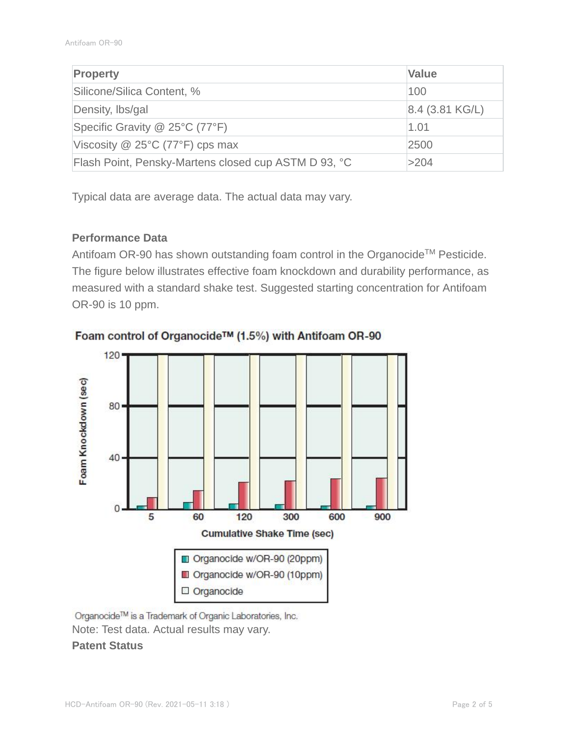| <b>Property</b>                                      | <b>Value</b>      |
|------------------------------------------------------|-------------------|
| Silicone/Silica Content, %                           | 100               |
| Density, Ibs/gal                                     | $8.4$ (3.81 KG/L) |
| Specific Gravity @ 25°C (77°F)                       | 1.01              |
| Viscosity $@$ 25°C (77°F) cps max                    | 2500              |
| Flash Point, Pensky-Martens closed cup ASTM D 93, °C | >204              |

Typical data are average data. The actual data may vary.

### **Performance Data**

Antifoam OR-90 has shown outstanding foam control in the Organocide™ Pesticide. The figure below illustrates effective foam knockdown and durability performance, as measured with a standard shake test. Suggested starting concentration for Antifoam OR-90 is 10 ppm.



Foam control of Organocide™ (1.5%) with Antifoam OR-90

Organocide™ is a Trademark of Organic Laboratories, Inc. Note: Test data. Actual results may vary. **Patent Status**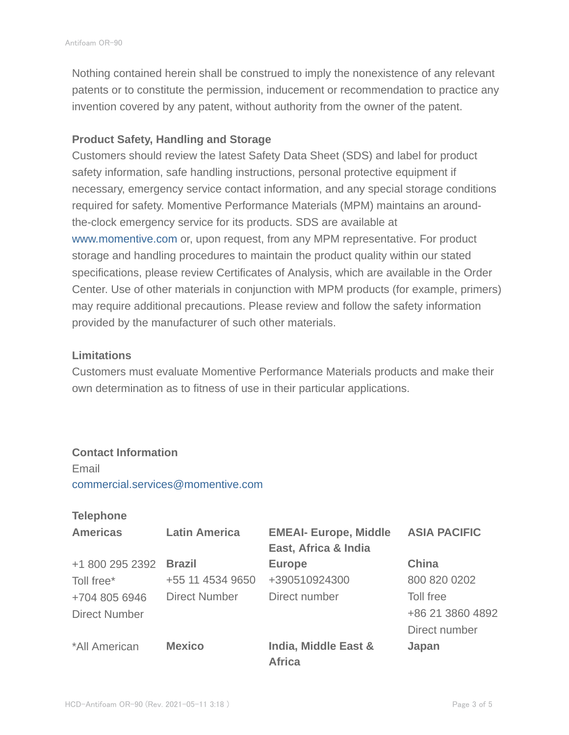Nothing contained herein shall be construed to imply the nonexistence of any relevant patents or to constitute the permission, inducement or recommendation to practice any invention covered by any patent, without authority from the owner of the patent.

#### **Product Safety, Handling and Storage**

Customers should review the latest Safety Data Sheet (SDS) and label for product safety information, safe handling instructions, personal protective equipment if necessary, emergency service contact information, and any special storage conditions required for safety. Momentive Performance Materials (MPM) maintains an aroundthe-clock emergency service for its products. SDS are available at www.momentive.com or, upon request, from any MPM representative. For product storage and handling procedures to maintain the product quality within our stated specifications, please review Certificates of Analysis, which are available in the Order Center. Use of other materials in conjunction with MPM products (for example, primers) may require additional precautions. Please review and follow the safety information provided by the manufacturer of such other materials.

#### **Limitations**

Customers must evaluate Momentive Performance Materials products and make their own determination as to fitness of use in their particular applications.

#### **Contact Information**

Email commercial.services@momentive.com

#### **Telephone**

| <b>Americas</b>      | <b>Latin America</b> | <b>EMEAI- Europe, Middle</b>          | <b>ASIA PACIFIC</b> |
|----------------------|----------------------|---------------------------------------|---------------------|
|                      |                      | East, Africa & India                  |                     |
| +1 800 295 2392      | <b>Brazil</b>        | <b>Europe</b>                         | <b>China</b>        |
| Toll free*           | +55 11 4534 9650     | +390510924300                         | 800 820 0202        |
| +704 805 6946        | <b>Direct Number</b> | Direct number                         | Toll free           |
| <b>Direct Number</b> |                      |                                       | +86 21 3860 4892    |
|                      |                      |                                       | Direct number       |
| *All American        | <b>Mexico</b>        | India, Middle East &<br><b>Africa</b> | Japan               |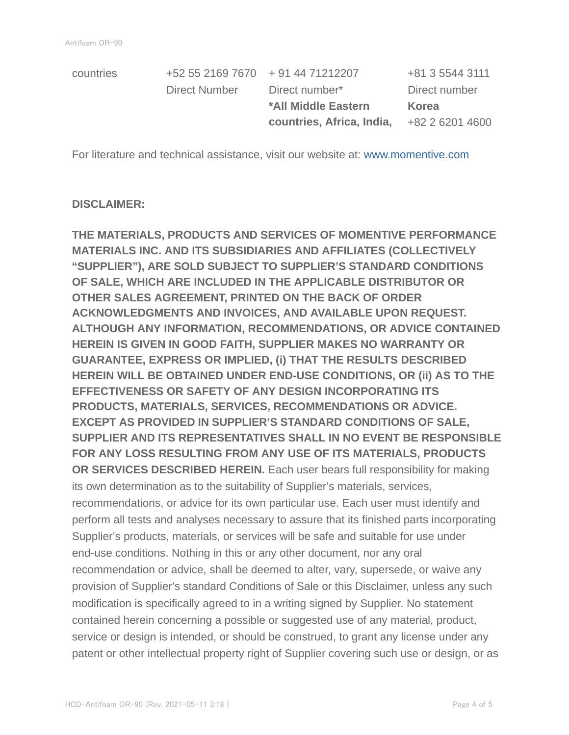| countries | +52 55 2169 7670 + 91 44 71212207 |                           | +81 3 5544 3111 |
|-----------|-----------------------------------|---------------------------|-----------------|
|           | Direct Number                     | Direct number*            | Direct number   |
|           |                                   | *All Middle Eastern       | Korea           |
|           |                                   | countries, Africa, India, | +82 2 6201 4600 |
|           |                                   |                           |                 |

For literature and technical assistance, visit our website at: www.momentive.com

#### **DISCLAIMER:**

**THE MATERIALS, PRODUCTS AND SERVICES OF MOMENTIVE PERFORMANCE MATERIALS INC. AND ITS SUBSIDIARIES AND AFFILIATES (COLLECTIVELY "SUPPLIER"), ARE SOLD SUBJECT TO SUPPLIER'S STANDARD CONDITIONS OF SALE, WHICH ARE INCLUDED IN THE APPLICABLE DISTRIBUTOR OR OTHER SALES AGREEMENT, PRINTED ON THE BACK OF ORDER ACKNOWLEDGMENTS AND INVOICES, AND AVAILABLE UPON REQUEST. ALTHOUGH ANY INFORMATION, RECOMMENDATIONS, OR ADVICE CONTAINED HEREIN IS GIVEN IN GOOD FAITH, SUPPLIER MAKES NO WARRANTY OR GUARANTEE, EXPRESS OR IMPLIED, (i) THAT THE RESULTS DESCRIBED HEREIN WILL BE OBTAINED UNDER END-USE CONDITIONS, OR (ii) AS TO THE EFFECTIVENESS OR SAFETY OF ANY DESIGN INCORPORATING ITS PRODUCTS, MATERIALS, SERVICES, RECOMMENDATIONS OR ADVICE. EXCEPT AS PROVIDED IN SUPPLIER'S STANDARD CONDITIONS OF SALE, SUPPLIER AND ITS REPRESENTATIVES SHALL IN NO EVENT BE RESPONSIBLE FOR ANY LOSS RESULTING FROM ANY USE OF ITS MATERIALS, PRODUCTS OR SERVICES DESCRIBED HEREIN.** Each user bears full responsibility for making its own determination as to the suitability of Supplier's materials, services, recommendations, or advice for its own particular use. Each user must identify and perform all tests and analyses necessary to assure that its finished parts incorporating Supplier's products, materials, or services will be safe and suitable for use under end-use conditions. Nothing in this or any other document, nor any oral recommendation or advice, shall be deemed to alter, vary, supersede, or waive any provision of Supplier's standard Conditions of Sale or this Disclaimer, unless any such modification is specifically agreed to in a writing signed by Supplier. No statement contained herein concerning a possible or suggested use of any material, product, service or design is intended, or should be construed, to grant any license under any patent or other intellectual property right of Supplier covering such use or design, or as